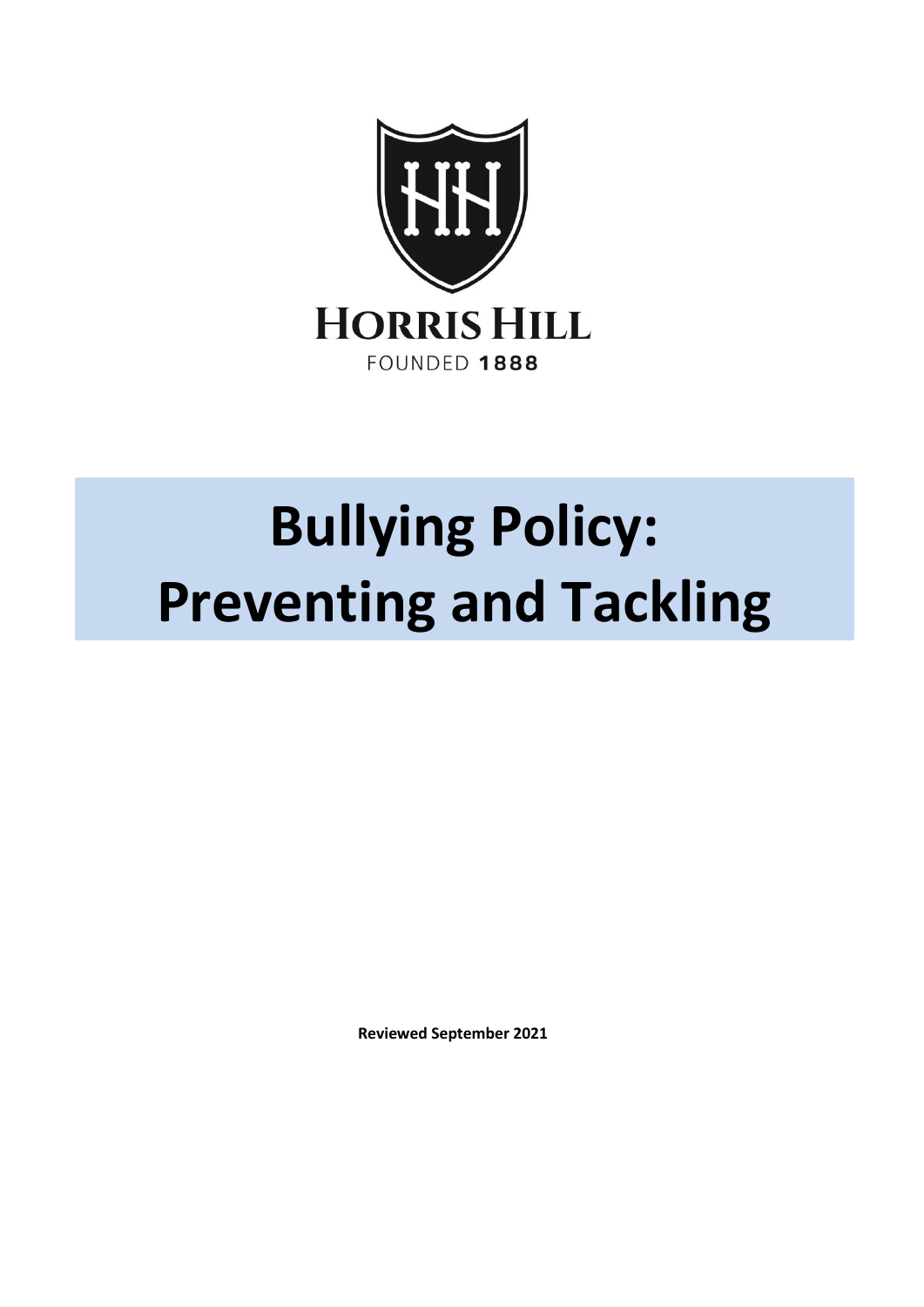

# **Bullying Policy: Preventing and Tackling**

**Reviewed September 2021**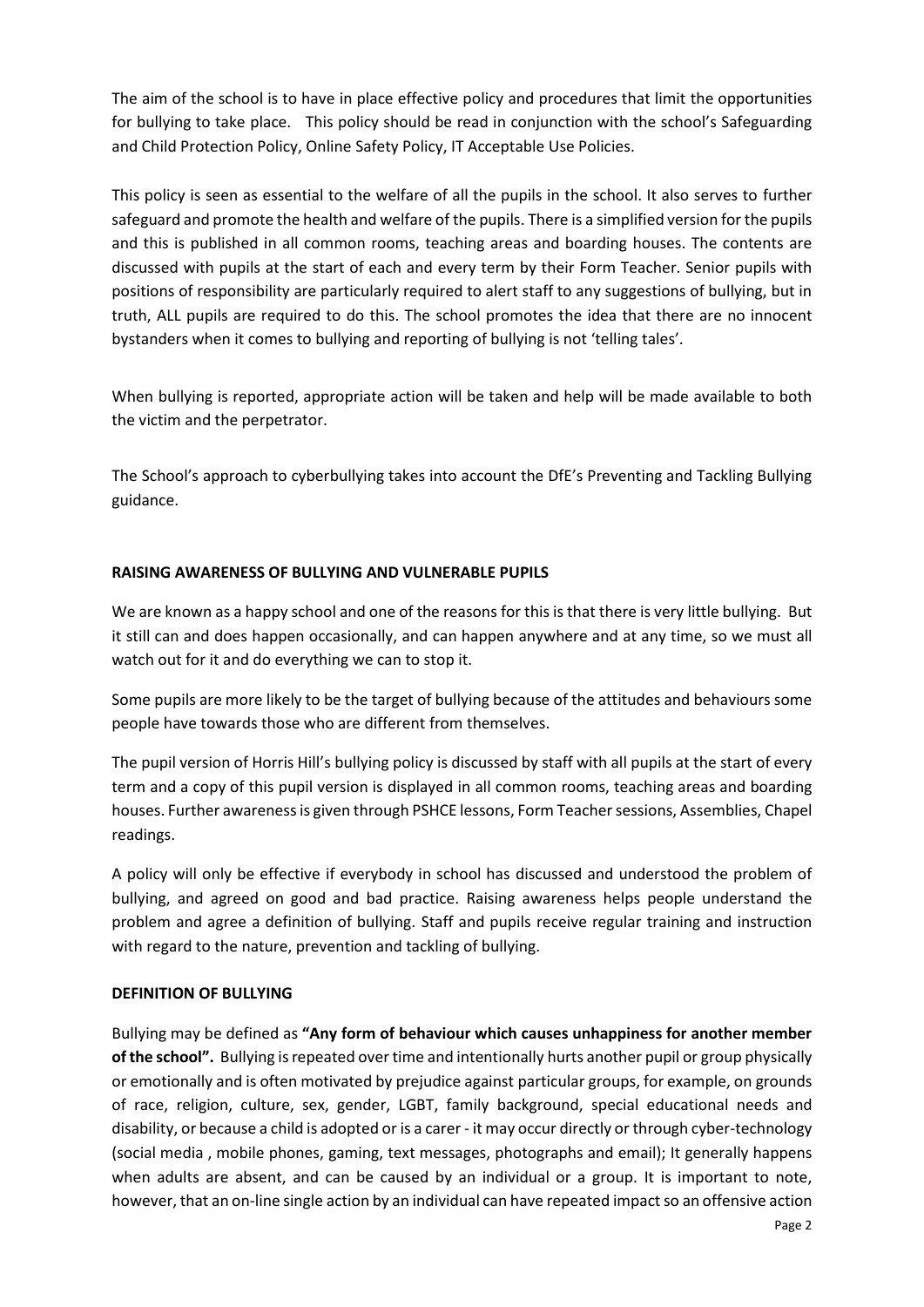The aim of the school is to have in place effective policy and procedures that limit the opportunities for bullying to take place. This policy should be read in conjunction with the school's Safeguarding and Child Protection Policy, Online Safety Policy, IT Acceptable Use Policies.

This policy is seen as essential to the welfare of all the pupils in the school. It also serves to further safeguard and promote the health and welfare of the pupils. There is a simplified version for the pupils and this is published in all common rooms, teaching areas and boarding houses. The contents are discussed with pupils at the start of each and every term by their Form Teacher. Senior pupils with positions of responsibility are particularly required to alert staff to any suggestions of bullying, but in truth, ALL pupils are required to do this. The school promotes the idea that there are no innocent bystanders when it comes to bullying and reporting of bullying is not 'telling tales'.

When bullying is reported, appropriate action will be taken and help will be made available to both the victim and the perpetrator.

The School's approach to cyberbullying takes into account the DfE's Preventing and Tackling Bullying guidance.

# **RAISING AWARENESS OF BULLYING AND VULNERABLE PUPILS**

We are known as a happy school and one of the reasons for this is that there is very little bullying. But it still can and does happen occasionally, and can happen anywhere and at any time, so we must all watch out for it and do everything we can to stop it.

Some pupils are more likely to be the target of bullying because of the attitudes and behaviours some people have towards those who are different from themselves.

The pupil version of Horris Hill's bullying policy is discussed by staff with all pupils at the start of every term and a copy of this pupil version is displayed in all common rooms, teaching areas and boarding houses. Further awareness is given through PSHCE lessons, Form Teacher sessions, Assemblies, Chapel readings.

A policy will only be effective if everybody in school has discussed and understood the problem of bullying, and agreed on good and bad practice. Raising awareness helps people understand the problem and agree a definition of bullying. Staff and pupils receive regular training and instruction with regard to the nature, prevention and tackling of bullying.

# **DEFINITION OF BULLYING**

Bullying may be defined as **"Any form of behaviour which causes unhappiness for another member of the school".** Bullying is repeated over time and intentionally hurts another pupil or group physically or emotionally and is often motivated by prejudice against particular groups, for example, on grounds of race, religion, culture, sex, gender, LGBT, family background, special educational needs and disability, or because a child is adopted or is a carer - it may occur directly or through cyber-technology (social media , mobile phones, gaming, text messages, photographs and email); It generally happens when adults are absent, and can be caused by an individual or a group. It is important to note, however, that an on-line single action by an individual can have repeated impact so an offensive action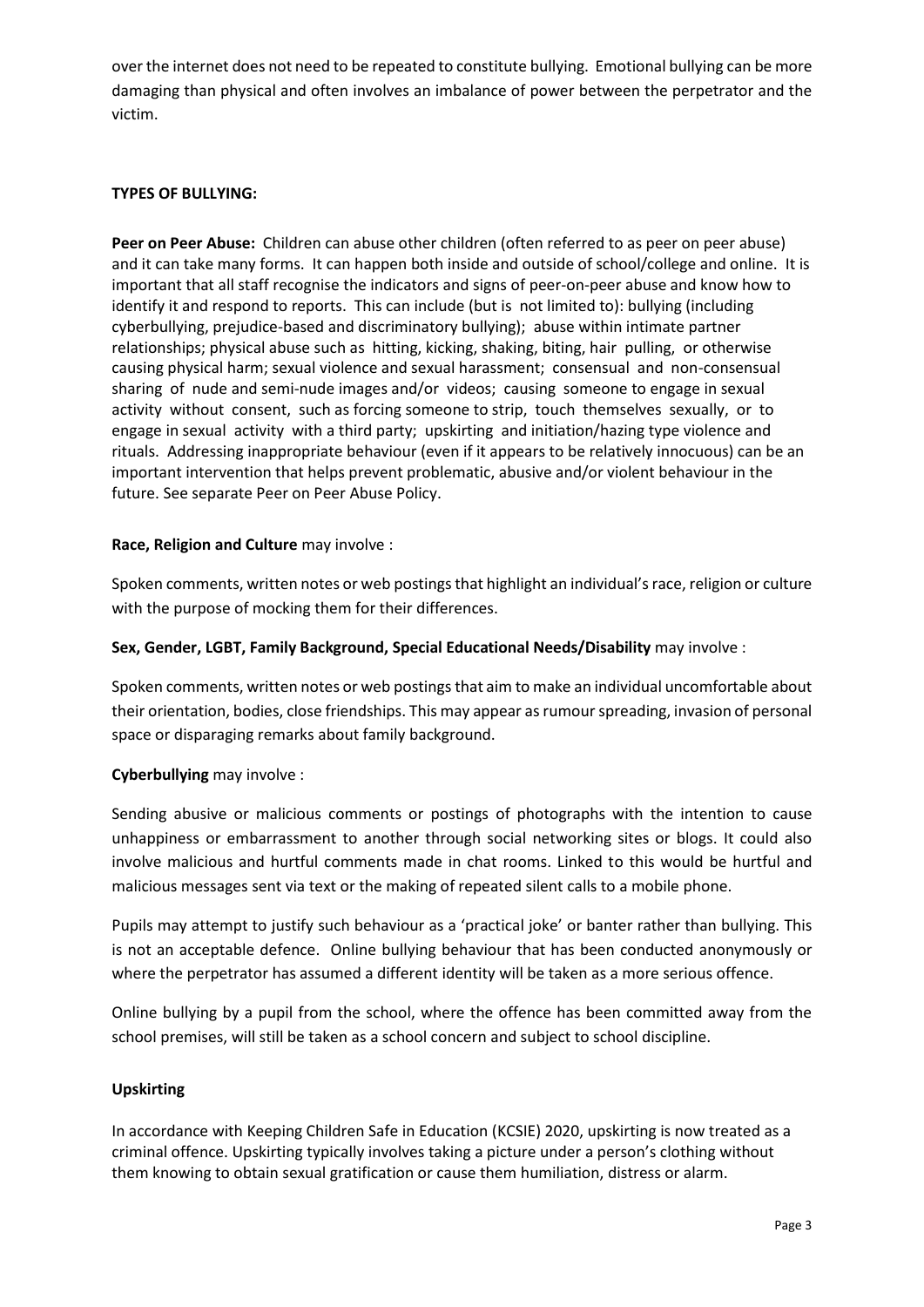over the internet does not need to be repeated to constitute bullying. Emotional bullying can be more damaging than physical and often involves an imbalance of power between the perpetrator and the victim.

# **TYPES OF BULLYING:**

**Peer on Peer Abuse:** Children can abuse other children (often referred to as peer on peer abuse) and it can take many forms. It can happen both inside and outside of school/college and online. It is important that all staff recognise the indicators and signs of peer-on-peer abuse and know how to identify it and respond to reports. This can include (but is not limited to): bullying (including cyberbullying, prejudice-based and discriminatory bullying); abuse within intimate partner relationships; physical abuse such as hitting, kicking, shaking, biting, hair pulling, or otherwise causing physical harm; sexual violence and sexual harassment; consensual and non-consensual sharing of nude and semi-nude images and/or videos; causing someone to engage in sexual activity without consent, such as forcing someone to strip, touch themselves sexually, or to engage in sexual activity with a third party; upskirting and initiation/hazing type violence and rituals. Addressing inappropriate behaviour (even if it appears to be relatively innocuous) can be an important intervention that helps prevent problematic, abusive and/or violent behaviour in the future. See separate Peer on Peer Abuse Policy.

## **Race, Religion and Culture** may involve :

Spoken comments, written notes or web postings that highlight an individual's race, religion or culture with the purpose of mocking them for their differences.

## **Sex, Gender, LGBT, Family Background, Special Educational Needs/Disability** may involve :

Spoken comments, written notes or web postings that aim to make an individual uncomfortable about their orientation, bodies, close friendships. This may appear as rumour spreading, invasion of personal space or disparaging remarks about family background.

## **Cyberbullying** may involve :

Sending abusive or malicious comments or postings of photographs with the intention to cause unhappiness or embarrassment to another through social networking sites or blogs. It could also involve malicious and hurtful comments made in chat rooms. Linked to this would be hurtful and malicious messages sent via text or the making of repeated silent calls to a mobile phone.

Pupils may attempt to justify such behaviour as a 'practical joke' or banter rather than bullying. This is not an acceptable defence. Online bullying behaviour that has been conducted anonymously or where the perpetrator has assumed a different identity will be taken as a more serious offence.

Online bullying by a pupil from the school, where the offence has been committed away from the school premises, will still be taken as a school concern and subject to school discipline.

# **Upskirting**

In accordance with Keeping Children Safe in Education (KCSIE) 2020, upskirting is now treated as a criminal offence. Upskirting typically involves taking a picture under a person's clothing without them knowing to obtain sexual gratification or cause them humiliation, distress or alarm.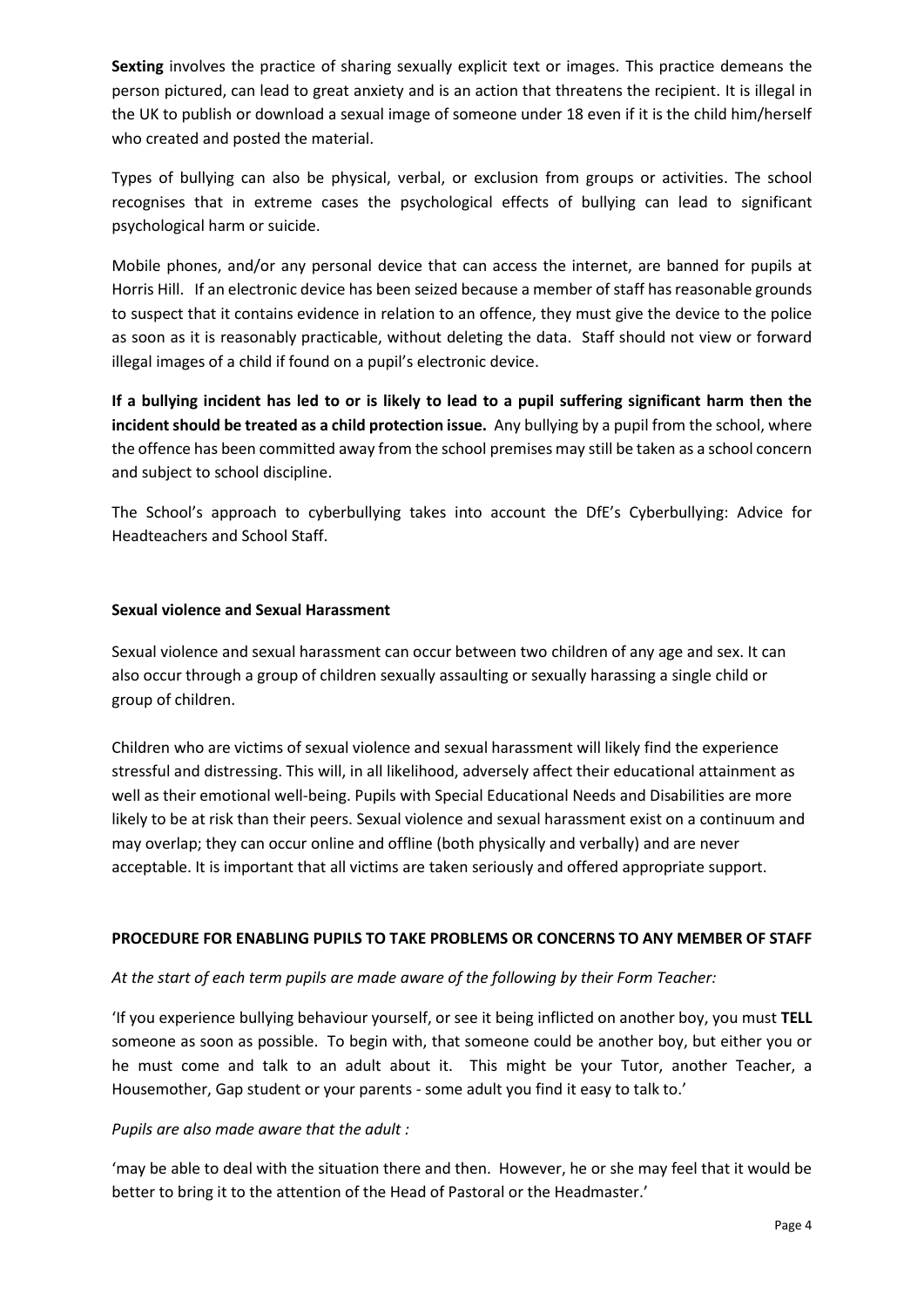**Sexting** involves the practice of sharing sexually explicit text or images. This practice demeans the person pictured, can lead to great anxiety and is an action that threatens the recipient. It is illegal in the UK to publish or download a sexual image of someone under 18 even if it is the child him/herself who created and posted the material.

Types of bullying can also be physical, verbal, or exclusion from groups or activities. The school recognises that in extreme cases the psychological effects of bullying can lead to significant psychological harm or suicide.

Mobile phones, and/or any personal device that can access the internet, are banned for pupils at Horris Hill. If an electronic device has been seized because a member of staff has reasonable grounds to suspect that it contains evidence in relation to an offence, they must give the device to the police as soon as it is reasonably practicable, without deleting the data. Staff should not view or forward illegal images of a child if found on a pupil's electronic device.

**If a bullying incident has led to or is likely to lead to a pupil suffering significant harm then the incident should be treated as a child protection issue.** Any bullying by a pupil from the school, where the offence has been committed away from the school premises may still be taken as a school concern and subject to school discipline.

The School's approach to cyberbullying takes into account the DfE's Cyberbullying: Advice for Headteachers and School Staff.

# **Sexual violence and Sexual Harassment**

Sexual violence and sexual harassment can occur between two children of any age and sex. It can also occur through a group of children sexually assaulting or sexually harassing a single child or group of children.

Children who are victims of sexual violence and sexual harassment will likely find the experience stressful and distressing. This will, in all likelihood, adversely affect their educational attainment as well as their emotional well-being. Pupils with Special Educational Needs and Disabilities are more likely to be at risk than their peers. Sexual violence and sexual harassment exist on a continuum and may overlap; they can occur online and offline (both physically and verbally) and are never acceptable. It is important that all victims are taken seriously and offered appropriate support.

# **PROCEDURE FOR ENABLING PUPILS TO TAKE PROBLEMS OR CONCERNS TO ANY MEMBER OF STAFF**

## *At the start of each term pupils are made aware of the following by their Form Teacher:*

'If you experience bullying behaviour yourself, or see it being inflicted on another boy, you must **TELL** someone as soon as possible. To begin with, that someone could be another boy, but either you or he must come and talk to an adult about it. This might be your Tutor, another Teacher, a Housemother, Gap student or your parents - some adult you find it easy to talk to.'

## *Pupils are also made aware that the adult :*

'may be able to deal with the situation there and then. However, he or she may feel that it would be better to bring it to the attention of the Head of Pastoral or the Headmaster.'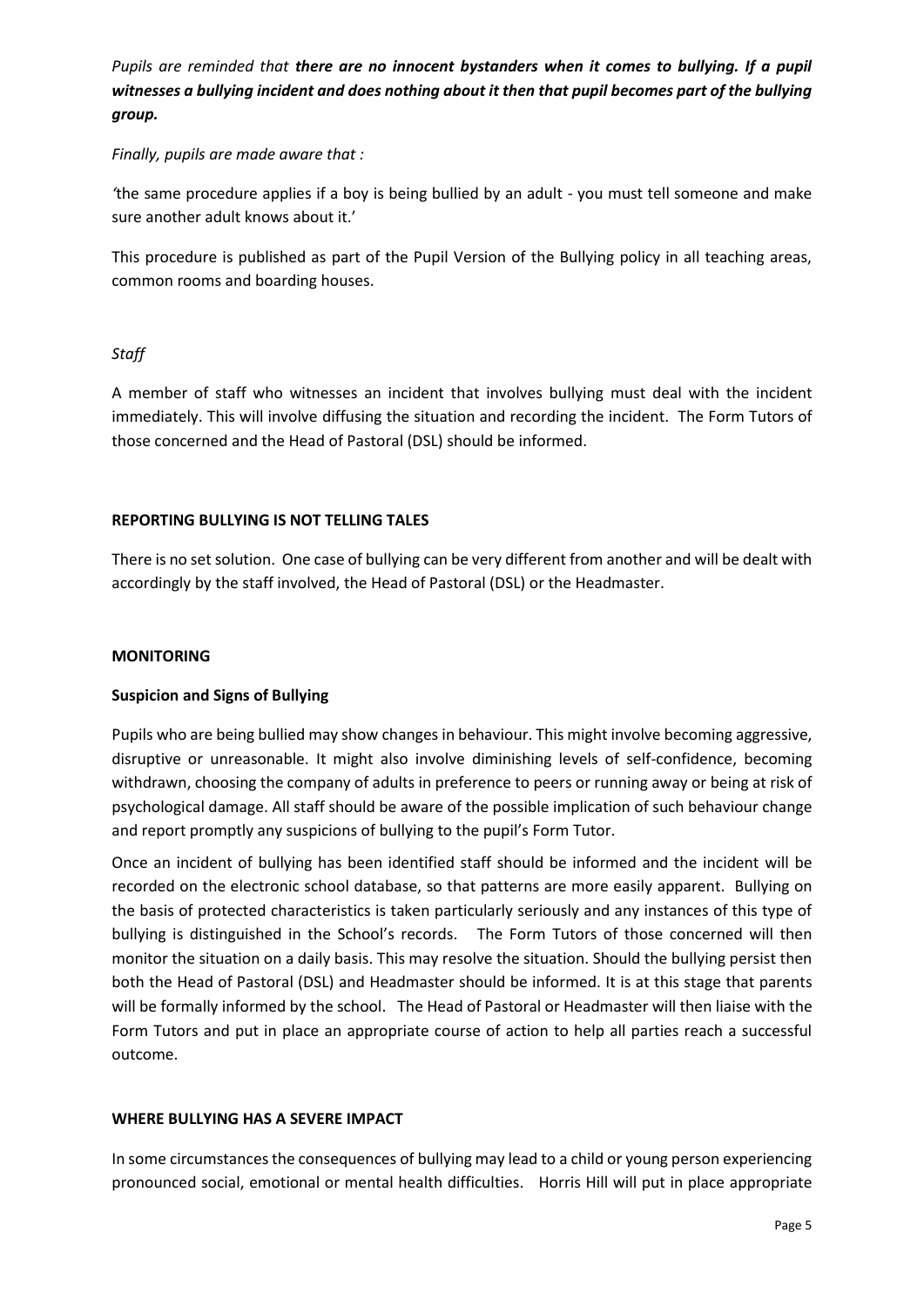*Pupils are reminded that there are no innocent bystanders when it comes to bullying. If a pupil witnesses a bullying incident and does nothing about it then that pupil becomes part of the bullying group.*

## *Finally, pupils are made aware that :*

*'*the same procedure applies if a boy is being bullied by an adult - you must tell someone and make sure another adult knows about it.'

This procedure is published as part of the Pupil Version of the Bullying policy in all teaching areas, common rooms and boarding houses.

# *Staff*

A member of staff who witnesses an incident that involves bullying must deal with the incident immediately. This will involve diffusing the situation and recording the incident. The Form Tutors of those concerned and the Head of Pastoral (DSL) should be informed.

# **REPORTING BULLYING IS NOT TELLING TALES**

There is no set solution. One case of bullying can be very different from another and will be dealt with accordingly by the staff involved, the Head of Pastoral (DSL) or the Headmaster.

## **MONITORING**

# **Suspicion and Signs of Bullying**

Pupils who are being bullied may show changes in behaviour. This might involve becoming aggressive, disruptive or unreasonable. It might also involve diminishing levels of self-confidence, becoming withdrawn, choosing the company of adults in preference to peers or running away or being at risk of psychological damage. All staff should be aware of the possible implication of such behaviour change and report promptly any suspicions of bullying to the pupil's Form Tutor.

Once an incident of bullying has been identified staff should be informed and the incident will be recorded on the electronic school database, so that patterns are more easily apparent. Bullying on the basis of protected characteristics is taken particularly seriously and any instances of this type of bullying is distinguished in the School's records. The Form Tutors of those concerned will then monitor the situation on a daily basis. This may resolve the situation. Should the bullying persist then both the Head of Pastoral (DSL) and Headmaster should be informed. It is at this stage that parents will be formally informed by the school.The Head of Pastoral or Headmaster will then liaise with the Form Tutors and put in place an appropriate course of action to help all parties reach a successful outcome.

## **WHERE BULLYING HAS A SEVERE IMPACT**

In some circumstances the consequences of bullying may lead to a child or young person experiencing pronounced social, emotional or mental health difficulties. Horris Hill will put in place appropriate